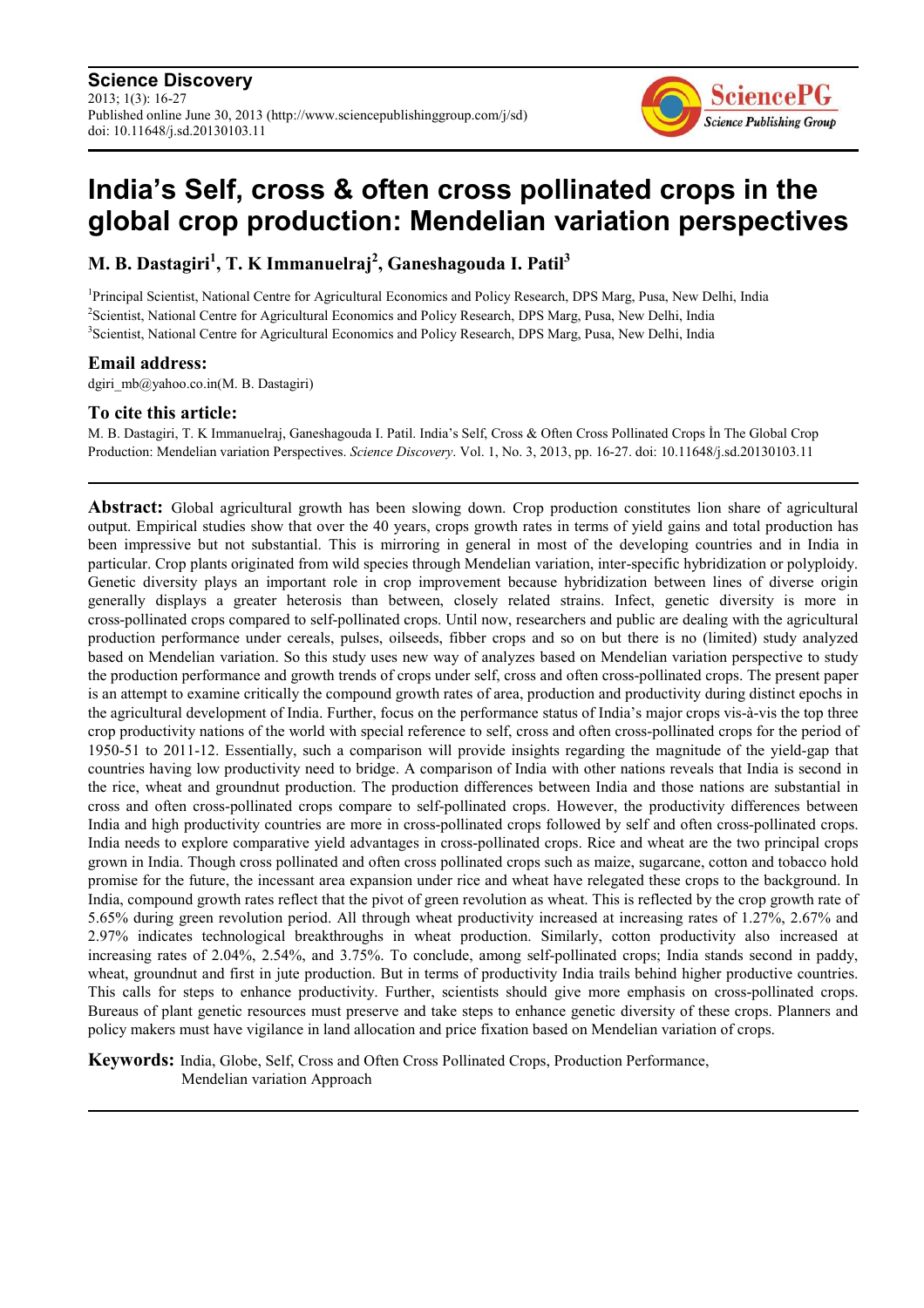**Science Discovery** 2013; 1(3): 16-27 Published online June 30, 2013 (http://www.sciencepublishinggroup.com/j/sd) doi: 10.11648/j.sd.20130103.11



# **India's Self, cross & often cross pollinated crops in the global crop production: Mendelian variation perspectives**

**M. B. Dastagiri<sup>1</sup> , T. K Immanuelraj<sup>2</sup> , Ganeshagouda I. Patil<sup>3</sup>**

<sup>1</sup>Principal Scientist, National Centre for Agricultural Economics and Policy Research, DPS Marg, Pusa, New Delhi, India <sup>2</sup>Scientist, National Centre for Agricultural Economics and Policy Research, DPS Marg, Pusa, New Delhi, India <sup>3</sup>Scientist, National Centre for Agricultural Economics and Policy Research, DPS Marg, Pusa, New Delhi, India

# **Email address:**

dgiri\_mb@yahoo.co.in(M. B. Dastagiri)

# **To cite this article:**

M. B. Dastagiri, T. K Immanuelraj, Ganeshagouda I. Patil. India's Self, Cross & Often Cross Pollinated Crops İn The Global Crop Production: Mendelian variation Perspectives. *Science Discovery*. Vol. 1, No. 3, 2013, pp. 16-27. doi: 10.11648/j.sd.20130103.11

**Abstract:** Global agricultural growth has been slowing down. Crop production constitutes lion share of agricultural output. Empirical studies show that over the 40 years, crops growth rates in terms of yield gains and total production has been impressive but not substantial. This is mirroring in general in most of the developing countries and in India in particular. Crop plants originated from wild species through Mendelian variation, inter-specific hybridization or polyploidy. Genetic diversity plays an important role in crop improvement because hybridization between lines of diverse origin generally displays a greater heterosis than between, closely related strains. Infect, genetic diversity is more in cross-pollinated crops compared to self-pollinated crops. Until now, researchers and public are dealing with the agricultural production performance under cereals, pulses, oilseeds, fibber crops and so on but there is no (limited) study analyzed based on Mendelian variation. So this study uses new way of analyzes based on Mendelian variation perspective to study the production performance and growth trends of crops under self, cross and often cross-pollinated crops. The present paper is an attempt to examine critically the compound growth rates of area, production and productivity during distinct epochs in the agricultural development of India. Further, focus on the performance status of India's major crops vis-à-vis the top three crop productivity nations of the world with special reference to self, cross and often cross-pollinated crops for the period of 1950-51 to 2011-12. Essentially, such a comparison will provide insights regarding the magnitude of the yield-gap that countries having low productivity need to bridge. A comparison of India with other nations reveals that India is second in the rice, wheat and groundnut production. The production differences between India and those nations are substantial in cross and often cross-pollinated crops compare to self-pollinated crops. However, the productivity differences between India and high productivity countries are more in cross-pollinated crops followed by self and often cross-pollinated crops. India needs to explore comparative yield advantages in cross-pollinated crops. Rice and wheat are the two principal crops grown in India. Though cross pollinated and often cross pollinated crops such as maize, sugarcane, cotton and tobacco hold promise for the future, the incessant area expansion under rice and wheat have relegated these crops to the background. In India, compound growth rates reflect that the pivot of green revolution as wheat. This is reflected by the crop growth rate of 5.65% during green revolution period. All through wheat productivity increased at increasing rates of 1.27%, 2.67% and 2.97% indicates technological breakthroughs in wheat production. Similarly, cotton productivity also increased at increasing rates of 2.04%, 2.54%, and 3.75%. To conclude, among self-pollinated crops; India stands second in paddy, wheat, groundnut and first in jute production. But in terms of productivity India trails behind higher productive countries. This calls for steps to enhance productivity. Further, scientists should give more emphasis on cross-pollinated crops. Bureaus of plant genetic resources must preserve and take steps to enhance genetic diversity of these crops. Planners and policy makers must have vigilance in land allocation and price fixation based on Mendelian variation of crops.

**Keywords:** India, Globe, Self, Cross and Often Cross Pollinated Crops, Production Performance, Mendelian variation Approach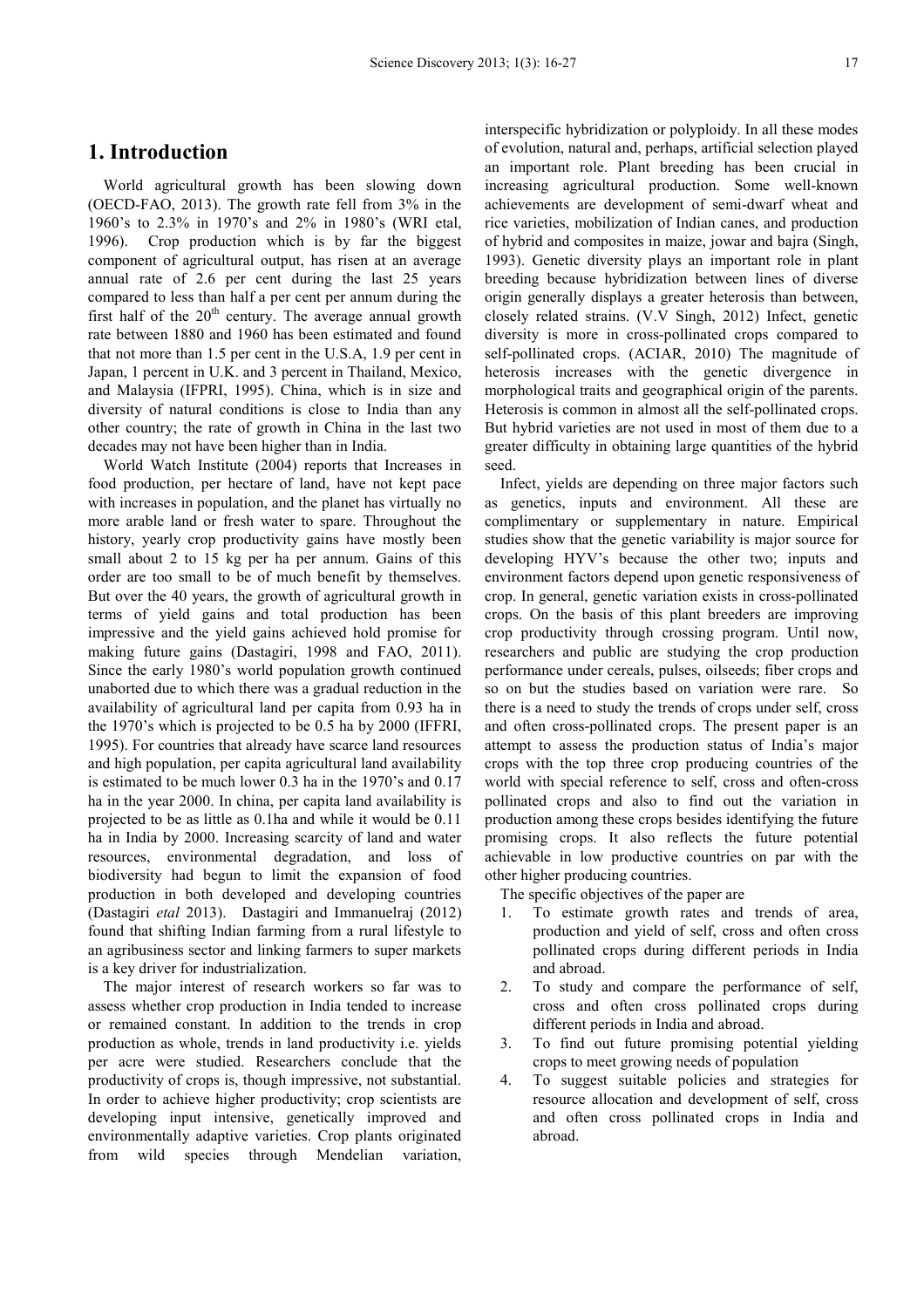# **1. Introduction**

World agricultural growth has been slowing down (OECD-FAO, 2013). The growth rate fell from 3% in the 1960's to 2.3% in 1970's and 2% in 1980's (WRI etal, 1996). Crop production which is by far the biggest component of agricultural output, has risen at an average annual rate of 2.6 per cent during the last 25 years compared to less than half a per cent per annum during the first half of the  $20<sup>th</sup>$  century. The average annual growth rate between 1880 and 1960 has been estimated and found that not more than 1.5 per cent in the U.S.A, 1.9 per cent in Japan, 1 percent in U.K. and 3 percent in Thailand, Mexico, and Malaysia (IFPRI, 1995). China, which is in size and diversity of natural conditions is close to India than any other country; the rate of growth in China in the last two decades may not have been higher than in India.

World Watch Institute (2004) reports that Increases in food production, per hectare of land, have not kept pace with increases in population, and the planet has virtually no more arable land or fresh water to spare. Throughout the history, yearly crop productivity gains have mostly been small about 2 to 15 kg per ha per annum. Gains of this order are too small to be of much benefit by themselves. But over the 40 years, the growth of agricultural growth in terms of yield gains and total production has been impressive and the yield gains achieved hold promise for making future gains (Dastagiri, 1998 and FAO, 2011). Since the early 1980's world population growth continued unaborted due to which there was a gradual reduction in the availability of agricultural land per capita from 0.93 ha in the 1970's which is projected to be 0.5 ha by 2000 (IFFRI, 1995). For countries that already have scarce land resources and high population, per capita agricultural land availability is estimated to be much lower 0.3 ha in the 1970's and 0.17 ha in the year 2000. In china, per capita land availability is projected to be as little as 0.1ha and while it would be 0.11 ha in India by 2000. Increasing scarcity of land and water resources, environmental degradation, and loss of biodiversity had begun to limit the expansion of food production in both developed and developing countries (Dastagiri *etal* 2013). Dastagiri and Immanuelraj (2012) found that shifting Indian farming from a rural lifestyle to an agribusiness sector and linking farmers to super markets is a key driver for industrialization.

The major interest of research workers so far was to assess whether crop production in India tended to increase or remained constant. In addition to the trends in crop production as whole, trends in land productivity i.e. yields per acre were studied. Researchers conclude that the productivity of crops is, though impressive, not substantial. In order to achieve higher productivity; crop scientists are developing input intensive, genetically improved and environmentally adaptive varieties. Crop plants originated from wild species through Mendelian variation,

interspecific hybridization or polyploidy. In all these modes of evolution, natural and, perhaps, artificial selection played an important role. Plant breeding has been crucial in increasing agricultural production. Some well-known achievements are development of semi-dwarf wheat and rice varieties, mobilization of Indian canes, and production of hybrid and composites in maize, jowar and bajra (Singh, 1993). Genetic diversity plays an important role in plant breeding because hybridization between lines of diverse origin generally displays a greater heterosis than between, closely related strains. (V.V Singh, 2012) Infect, genetic diversity is more in cross-pollinated crops compared to self-pollinated crops. (ACIAR, 2010) The magnitude of heterosis increases with the genetic divergence in morphological traits and geographical origin of the parents. Heterosis is common in almost all the self-pollinated crops. But hybrid varieties are not used in most of them due to a greater difficulty in obtaining large quantities of the hybrid seed.

Infect, yields are depending on three major factors such as genetics, inputs and environment. All these are complimentary or supplementary in nature. Empirical studies show that the genetic variability is major source for developing HYV's because the other two; inputs and environment factors depend upon genetic responsiveness of crop. In general, genetic variation exists in cross-pollinated crops. On the basis of this plant breeders are improving crop productivity through crossing program. Until now, researchers and public are studying the crop production performance under cereals, pulses, oilseeds; fiber crops and so on but the studies based on variation were rare. So there is a need to study the trends of crops under self, cross and often cross-pollinated crops. The present paper is an attempt to assess the production status of India's major crops with the top three crop producing countries of the world with special reference to self, cross and often-cross pollinated crops and also to find out the variation in production among these crops besides identifying the future promising crops. It also reflects the future potential achievable in low productive countries on par with the other higher producing countries.

- The specific objectives of the paper are
- 1. To estimate growth rates and trends of area, production and yield of self, cross and often cross pollinated crops during different periods in India and abroad.
- 2. To study and compare the performance of self, cross and often cross pollinated crops during different periods in India and abroad.
- 3. To find out future promising potential yielding crops to meet growing needs of population
- 4. To suggest suitable policies and strategies for resource allocation and development of self, cross and often cross pollinated crops in India and abroad.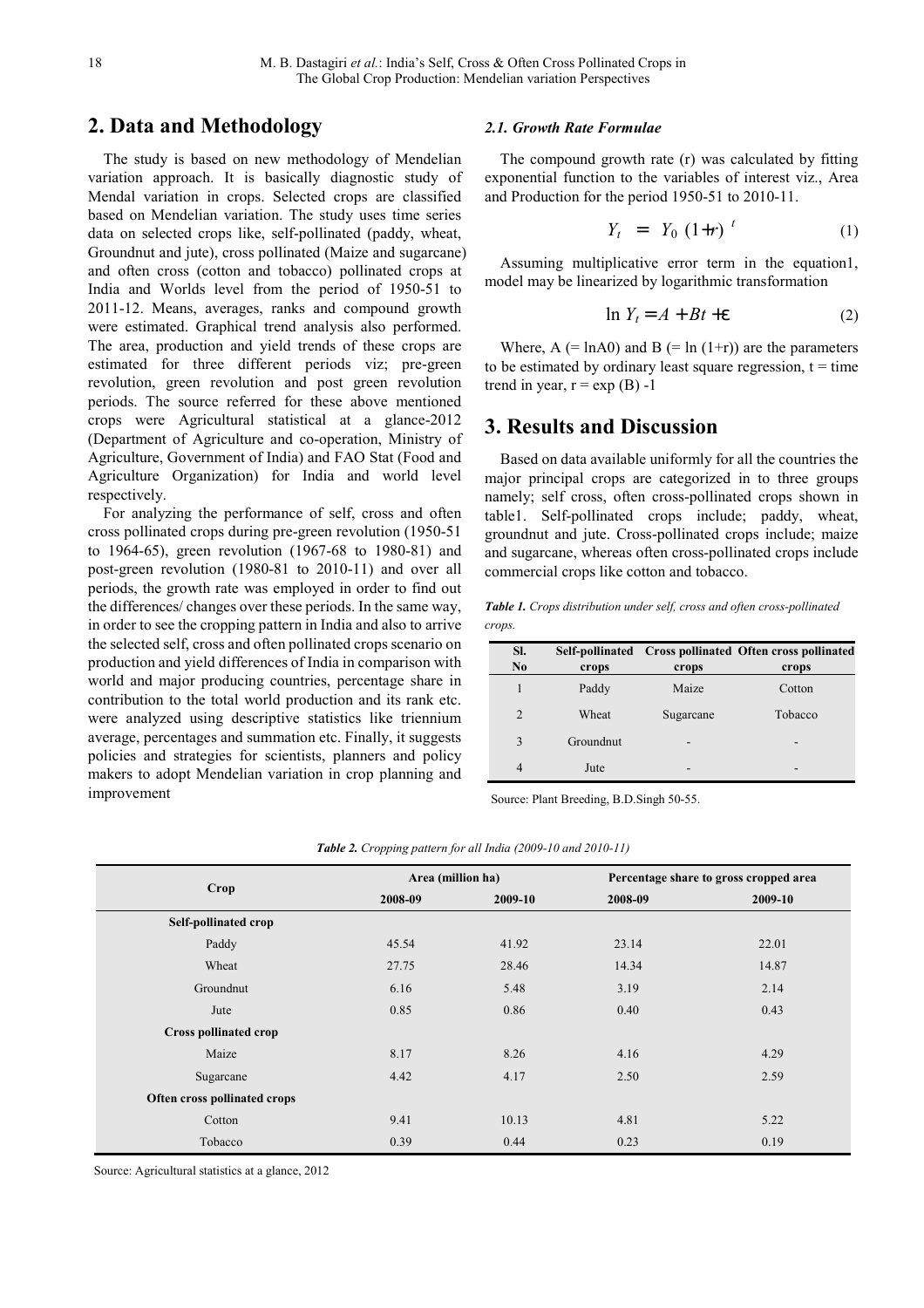# **2. Data and Methodology**

The study is based on new methodology of Mendelian variation approach. It is basically diagnostic study of Mendal variation in crops. Selected crops are classified based on Mendelian variation. The study uses time series data on selected crops like, self-pollinated (paddy, wheat, Groundnut and jute), cross pollinated (Maize and sugarcane) and often cross (cotton and tobacco) pollinated crops at India and Worlds level from the period of 1950-51 to 2011-12. Means, averages, ranks and compound growth were estimated. Graphical trend analysis also performed. The area, production and yield trends of these crops are estimated for three different periods viz; pre-green revolution, green revolution and post green revolution periods. The source referred for these above mentioned crops were Agricultural statistical at a glance-2012 (Department of Agriculture and co-operation, Ministry of Agriculture, Government of India) and FAO Stat (Food and Agriculture Organization) for India and world level respectively.

For analyzing the performance of self, cross and often cross pollinated crops during pre-green revolution (1950-51 to 1964-65), green revolution (1967-68 to 1980-81) and post-green revolution (1980-81 to 2010-11) and over all periods, the growth rate was employed in order to find out the differences/ changes over these periods. In the same way, in order to see the cropping pattern in India and also to arrive the selected self, cross and often pollinated crops scenario on production and yield differences of India in comparison with world and major producing countries, percentage share in contribution to the total world production and its rank etc. were analyzed using descriptive statistics like triennium average, percentages and summation etc. Finally, it suggests policies and strategies for scientists, planners and policy makers to adopt Mendelian variation in crop planning and improvement

## *2.1. Growth Rate Formulae*

The compound growth rate (r) was calculated by fitting exponential function to the variables of interest viz., Area and Production for the period 1950-51 to 2010-11.

$$
Y_t = Y_0 (1+r)^t \tag{1}
$$

Assuming multiplicative error term in the equation1, model may be linearized by logarithmic transformation

$$
\ln Y_t = A + Bt + \varepsilon \tag{2}
$$

Where,  $A$  (= lnA0) and  $B$  (= ln (1+r)) are the parameters to be estimated by ordinary least square regression,  $t = time$ trend in year,  $r = exp(B) -1$ 

# **3. Results and Discussion**

Based on data available uniformly for all the countries the major principal crops are categorized in to three groups namely; self cross, often cross-pollinated crops shown in table1. Self-pollinated crops include; paddy, wheat, groundnut and jute. Cross-pollinated crops include; maize and sugarcane, whereas often cross-pollinated crops include commercial crops like cotton and tobacco.

*Table 1. Crops distribution under self, cross and often cross-pollinated crops.* 

| SI.<br>N <sub>0</sub> | crops     | crops     | Self-pollinated Cross pollinated Often cross pollinated<br>crops |
|-----------------------|-----------|-----------|------------------------------------------------------------------|
| 1                     | Paddy     | Maize     | Cotton                                                           |
| $\overline{2}$        | Wheat     | Sugarcane | Tobacco                                                          |
| 3                     | Groundnut |           |                                                                  |
| 4                     | Jute      |           |                                                                  |

Source: Plant Breeding, B.D.Singh 50-55.

|                              | Area (million ha) |         |         | Percentage share to gross cropped area |
|------------------------------|-------------------|---------|---------|----------------------------------------|
| Crop                         | 2008-09           | 2009-10 | 2008-09 | 2009-10                                |
| <b>Self-pollinated crop</b>  |                   |         |         |                                        |
| Paddy                        | 45.54             | 41.92   | 23.14   | 22.01                                  |
| Wheat                        | 27.75             | 28.46   | 14.34   | 14.87                                  |
| Groundnut                    | 6.16              | 5.48    | 3.19    | 2.14                                   |
| Jute                         | 0.85              | 0.86    | 0.40    | 0.43                                   |
| <b>Cross pollinated crop</b> |                   |         |         |                                        |
| Maize                        | 8.17              | 8.26    | 4.16    | 4.29                                   |
| Sugarcane                    | 4.42              | 4.17    | 2.50    | 2.59                                   |
| Often cross pollinated crops |                   |         |         |                                        |
| Cotton                       | 9.41              | 10.13   | 4.81    | 5.22                                   |
| Tobacco                      | 0.39              | 0.44    | 0.23    | 0.19                                   |

*Table 2. Cropping pattern for all India (2009-10 and 2010-11)*

Source: Agricultural statistics at a glance, 2012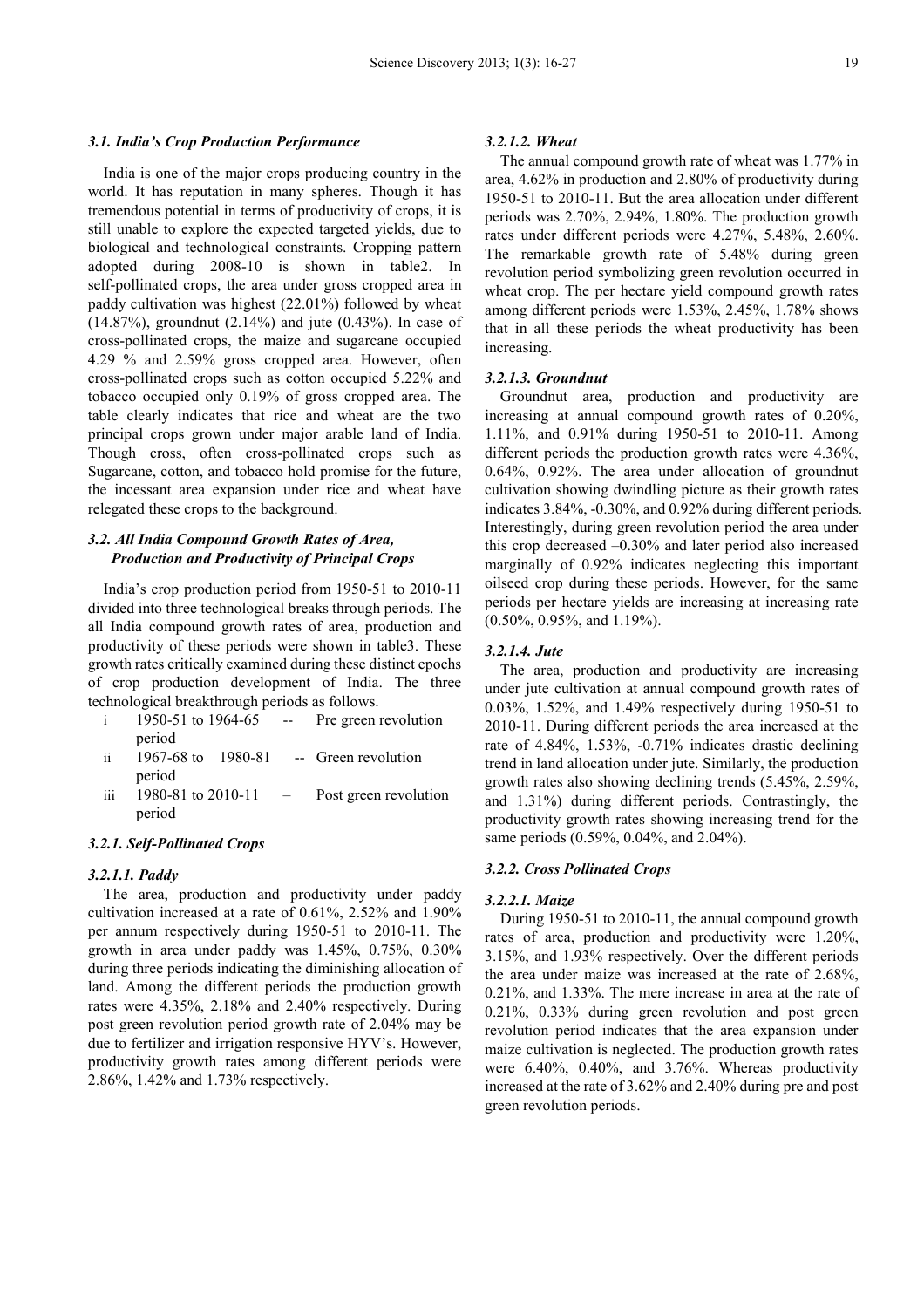#### *3.1. India's Crop Production Performance*

India is one of the major crops producing country in the world. It has reputation in many spheres. Though it has tremendous potential in terms of productivity of crops, it is still unable to explore the expected targeted yields, due to biological and technological constraints. Cropping pattern adopted during 2008-10 is shown in table2. In self-pollinated crops, the area under gross cropped area in paddy cultivation was highest (22.01%) followed by wheat (14.87%), groundnut (2.14%) and jute (0.43%). In case of cross-pollinated crops, the maize and sugarcane occupied 4.29 % and 2.59% gross cropped area. However, often cross-pollinated crops such as cotton occupied 5.22% and tobacco occupied only 0.19% of gross cropped area. The table clearly indicates that rice and wheat are the two principal crops grown under major arable land of India. Though cross, often cross-pollinated crops such as Sugarcane, cotton, and tobacco hold promise for the future, the incessant area expansion under rice and wheat have relegated these crops to the background.

## *3.2. All India Compound Growth Rates of Area, Production and Productivity of Principal Crops*

India's crop production period from 1950-51 to 2010-11 divided into three technological breaks through periods. The all India compound growth rates of area, production and productivity of these periods were shown in table3. These growth rates critically examined during these distinct epochs of crop production development of India. The three technological breakthrough periods as follows.

- i 1950-51 to 1964-65 -- Pre green revolution period
- ii 1967-68 to 1980-81 -- Green revolution period
- iii  $1980-81$  to  $2010-11$  Post green revolution period

## *3.2.1. Self-Pollinated Crops*

#### *3.2.1.1. Paddy*

The area, production and productivity under paddy cultivation increased at a rate of 0.61%, 2.52% and 1.90% per annum respectively during 1950-51 to 2010-11. The growth in area under paddy was 1.45%, 0.75%, 0.30% during three periods indicating the diminishing allocation of land. Among the different periods the production growth rates were 4.35%, 2.18% and 2.40% respectively. During post green revolution period growth rate of 2.04% may be due to fertilizer and irrigation responsive HYV's. However, productivity growth rates among different periods were 2.86%, 1.42% and 1.73% respectively.

#### *3.2.1.2. Wheat*

The annual compound growth rate of wheat was 1.77% in area, 4.62% in production and 2.80% of productivity during 1950-51 to 2010-11. But the area allocation under different periods was 2.70%, 2.94%, 1.80%. The production growth rates under different periods were 4.27%, 5.48%, 2.60%. The remarkable growth rate of 5.48% during green revolution period symbolizing green revolution occurred in wheat crop. The per hectare yield compound growth rates among different periods were 1.53%, 2.45%, 1.78% shows that in all these periods the wheat productivity has been increasing.

#### *3.2.1.3. Groundnut*

Groundnut area, production and productivity are increasing at annual compound growth rates of 0.20%, 1.11%, and 0.91% during 1950-51 to 2010-11. Among different periods the production growth rates were 4.36%, 0.64%, 0.92%. The area under allocation of groundnut cultivation showing dwindling picture as their growth rates indicates 3.84%, -0.30%, and 0.92% during different periods. Interestingly, during green revolution period the area under this crop decreased –0.30% and later period also increased marginally of 0.92% indicates neglecting this important oilseed crop during these periods. However, for the same periods per hectare yields are increasing at increasing rate (0.50%, 0.95%, and 1.19%).

## *3.2.1.4. Jute*

The area, production and productivity are increasing under jute cultivation at annual compound growth rates of 0.03%, 1.52%, and 1.49% respectively during 1950-51 to 2010-11. During different periods the area increased at the rate of 4.84%, 1.53%, -0.71% indicates drastic declining trend in land allocation under jute. Similarly, the production growth rates also showing declining trends (5.45%, 2.59%, and 1.31%) during different periods. Contrastingly, the productivity growth rates showing increasing trend for the same periods (0.59%, 0.04%, and 2.04%).

## *3.2.2. Cross Pollinated Crops*

#### *3.2.2.1. Maize*

During 1950-51 to 2010-11, the annual compound growth rates of area, production and productivity were 1.20%, 3.15%, and 1.93% respectively. Over the different periods the area under maize was increased at the rate of 2.68%, 0.21%, and 1.33%. The mere increase in area at the rate of 0.21%, 0.33% during green revolution and post green revolution period indicates that the area expansion under maize cultivation is neglected. The production growth rates were 6.40%, 0.40%, and 3.76%. Whereas productivity increased at the rate of 3.62% and 2.40% during pre and post green revolution periods.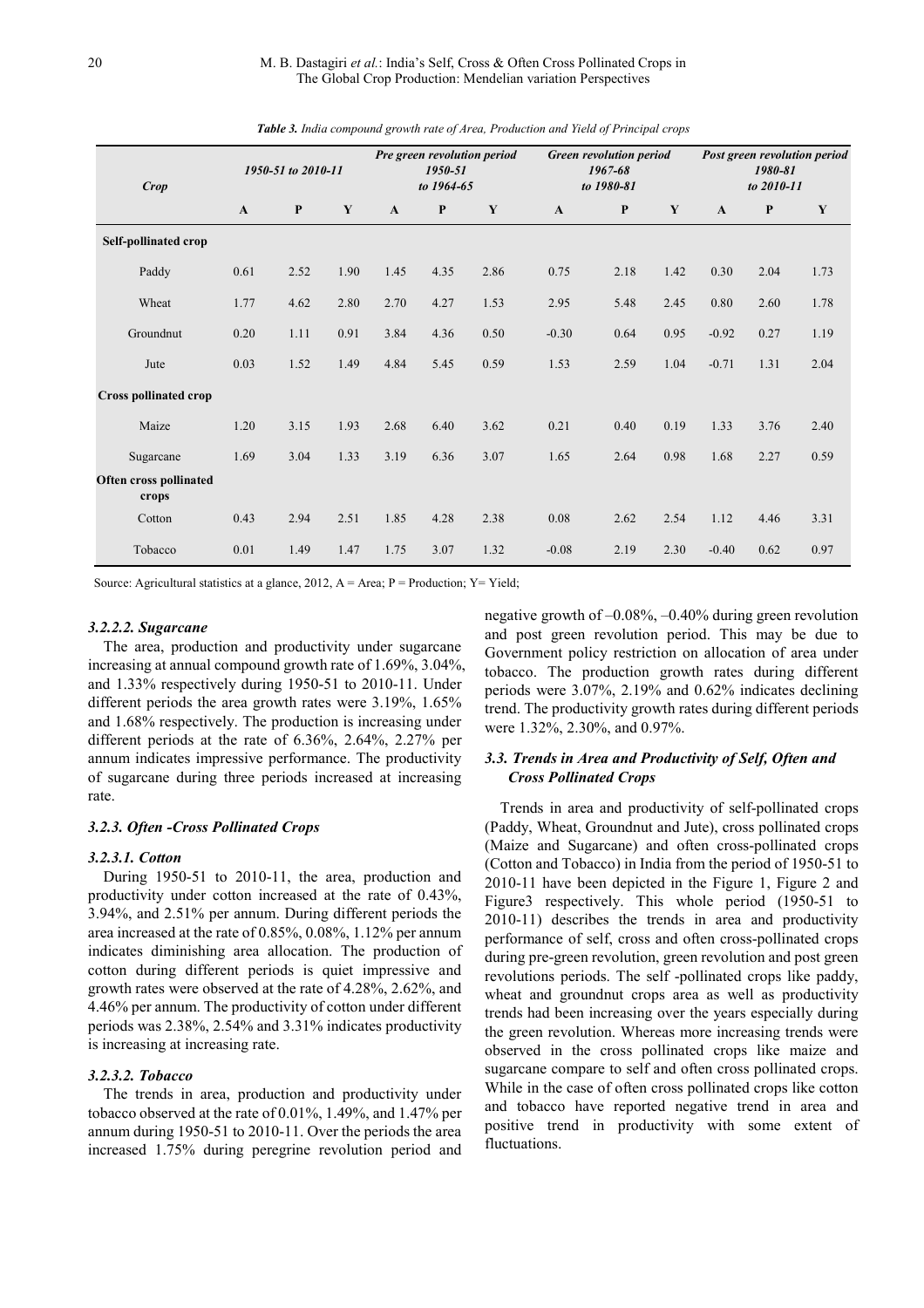| Crop                                   |              | 1950-51 to 2010-11 |      |              | 1950-51<br>to 1964-65 | Pre green revolution period |              | <b>Green revolution period</b><br>1967-68<br>to 1980-81 |      |              | 1980-81<br>to 2010-11 | Post green revolution period |
|----------------------------------------|--------------|--------------------|------|--------------|-----------------------|-----------------------------|--------------|---------------------------------------------------------|------|--------------|-----------------------|------------------------------|
|                                        | $\mathbf{A}$ | $\mathbf{P}$       | Y    | $\mathbf{A}$ | $\mathbf{P}$          | Y                           | $\mathbf{A}$ | $\mathbf{P}$                                            | Y    | $\mathbf{A}$ | P                     | Y                            |
| Self-pollinated crop                   |              |                    |      |              |                       |                             |              |                                                         |      |              |                       |                              |
| Paddy                                  | 0.61         | 2.52               | 1.90 | 1.45         | 4.35                  | 2.86                        | 0.75         | 2.18                                                    | 1.42 | 0.30         | 2.04                  | 1.73                         |
| Wheat                                  | 1.77         | 4.62               | 2.80 | 2.70         | 4.27                  | 1.53                        | 2.95         | 5.48                                                    | 2.45 | 0.80         | 2.60                  | 1.78                         |
| Groundnut                              | 0.20         | 1.11               | 0.91 | 3.84         | 4.36                  | 0.50                        | $-0.30$      | 0.64                                                    | 0.95 | $-0.92$      | 0.27                  | 1.19                         |
| Jute                                   | 0.03         | 1.52               | 1.49 | 4.84         | 5.45                  | 0.59                        | 1.53         | 2.59                                                    | 1.04 | $-0.71$      | 1.31                  | 2.04                         |
| Cross pollinated crop                  |              |                    |      |              |                       |                             |              |                                                         |      |              |                       |                              |
| Maize                                  | 1.20         | 3.15               | 1.93 | 2.68         | 6.40                  | 3.62                        | 0.21         | 0.40                                                    | 0.19 | 1.33         | 3.76                  | 2.40                         |
| Sugarcane                              | 1.69         | 3.04               | 1.33 | 3.19         | 6.36                  | 3.07                        | 1.65         | 2.64                                                    | 0.98 | 1.68         | 2.27                  | 0.59                         |
| <b>Often cross pollinated</b><br>crops |              |                    |      |              |                       |                             |              |                                                         |      |              |                       |                              |
| Cotton                                 | 0.43         | 2.94               | 2.51 | 1.85         | 4.28                  | 2.38                        | 0.08         | 2.62                                                    | 2.54 | 1.12         | 4.46                  | 3.31                         |
| Tobacco                                | 0.01         | 1.49               | 1.47 | 1.75         | 3.07                  | 1.32                        | $-0.08$      | 2.19                                                    | 2.30 | $-0.40$      | 0.62                  | 0.97                         |

*Table 3. India compound growth rate of Area, Production and Yield of Principal crops* 

Source: Agricultural statistics at a glance, 2012,  $A = Area$ ;  $P = Production$ ;  $Y = Yield$ ;

#### *3.2.2.2. Sugarcane*

The area, production and productivity under sugarcane increasing at annual compound growth rate of 1.69%, 3.04%, and 1.33% respectively during 1950-51 to 2010-11. Under different periods the area growth rates were 3.19%, 1.65% and 1.68% respectively. The production is increasing under different periods at the rate of 6.36%, 2.64%, 2.27% per annum indicates impressive performance. The productivity of sugarcane during three periods increased at increasing rate.

## *3.2.3. Often -Cross Pollinated Crops*

#### *3.2.3.1. Cotton*

During 1950-51 to 2010-11, the area, production and productivity under cotton increased at the rate of 0.43%, 3.94%, and 2.51% per annum. During different periods the area increased at the rate of 0.85%, 0.08%, 1.12% per annum indicates diminishing area allocation. The production of cotton during different periods is quiet impressive and growth rates were observed at the rate of 4.28%, 2.62%, and 4.46% per annum. The productivity of cotton under different periods was 2.38%, 2.54% and 3.31% indicates productivity is increasing at increasing rate.

## *3.2.3.2. Tobacco*

The trends in area, production and productivity under tobacco observed at the rate of 0.01%, 1.49%, and 1.47% per annum during 1950-51 to 2010-11. Over the periods the area increased 1.75% during peregrine revolution period and negative growth of –0.08%, –0.40% during green revolution and post green revolution period. This may be due to Government policy restriction on allocation of area under tobacco. The production growth rates during different periods were 3.07%, 2.19% and 0.62% indicates declining trend. The productivity growth rates during different periods were 1.32%, 2.30%, and 0.97%.

## *3.3. Trends in Area and Productivity of Self, Often and Cross Pollinated Crops*

Trends in area and productivity of self-pollinated crops (Paddy, Wheat, Groundnut and Jute), cross pollinated crops (Maize and Sugarcane) and often cross-pollinated crops (Cotton and Tobacco) in India from the period of 1950-51 to 2010-11 have been depicted in the Figure 1, Figure 2 and Figure3 respectively. This whole period (1950-51 to 2010-11) describes the trends in area and productivity performance of self, cross and often cross-pollinated crops during pre-green revolution, green revolution and post green revolutions periods. The self -pollinated crops like paddy, wheat and groundnut crops area as well as productivity trends had been increasing over the years especially during the green revolution. Whereas more increasing trends were observed in the cross pollinated crops like maize and sugarcane compare to self and often cross pollinated crops. While in the case of often cross pollinated crops like cotton and tobacco have reported negative trend in area and positive trend in productivity with some extent of fluctuations.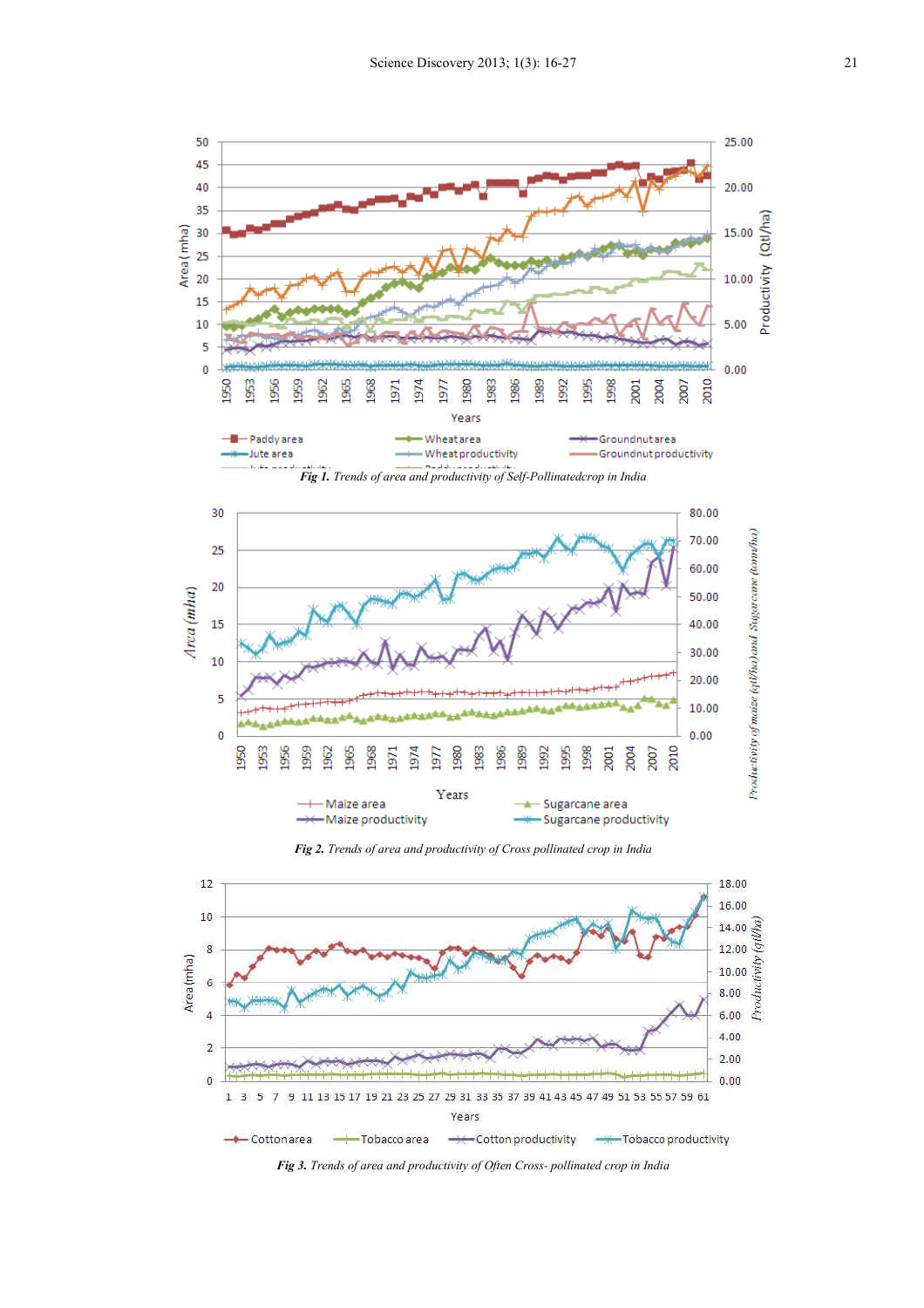

*Fig 2. Trends of area and productivity of Cross pollinated crop in India* 



*Fig 3. Trends of area and productivity of Often Cross- pollinated crop in India*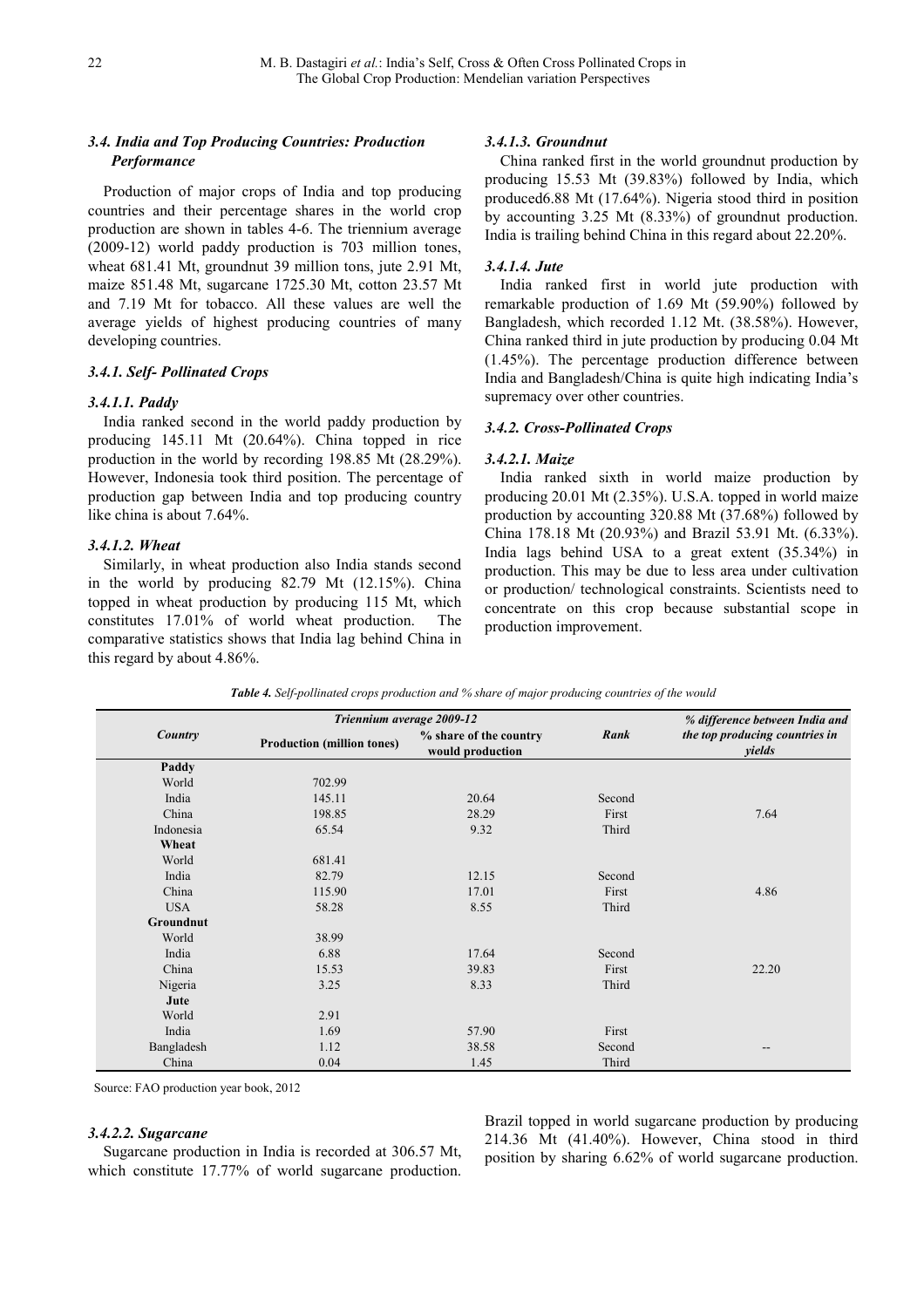# *3.4. India and Top Producing Countries: Production Performance*

Production of major crops of India and top producing countries and their percentage shares in the world crop production are shown in tables 4-6. The triennium average (2009-12) world paddy production is 703 million tones, wheat 681.41 Mt, groundnut 39 million tons, jute 2.91 Mt, maize 851.48 Mt, sugarcane 1725.30 Mt, cotton 23.57 Mt and 7.19 Mt for tobacco. All these values are well the average yields of highest producing countries of many developing countries.

## *3.4.1. Self- Pollinated Crops*

## *3.4.1.1. Paddy*

India ranked second in the world paddy production by producing 145.11 Mt (20.64%). China topped in rice production in the world by recording 198.85 Mt (28.29%). However, Indonesia took third position. The percentage of production gap between India and top producing country like china is about 7.64%.

## *3.4.1.2. Wheat*

Similarly, in wheat production also India stands second in the world by producing 82.79 Mt (12.15%). China topped in wheat production by producing 115 Mt, which constitutes 17.01% of world wheat production. The comparative statistics shows that India lag behind China in this regard by about 4.86%.

## *3.4.1.3. Groundnut*

China ranked first in the world groundnut production by producing 15.53 Mt (39.83%) followed by India, which produced6.88 Mt (17.64%). Nigeria stood third in position by accounting 3.25 Mt (8.33%) of groundnut production. India is trailing behind China in this regard about 22.20%.

## *3.4.1.4. Jute*

India ranked first in world jute production with remarkable production of 1.69 Mt (59.90%) followed by Bangladesh, which recorded 1.12 Mt. (38.58%). However, China ranked third in jute production by producing 0.04 Mt (1.45%). The percentage production difference between India and Bangladesh/China is quite high indicating India's supremacy over other countries.

## *3.4.2. Cross-Pollinated Crops*

## *3.4.2.1. Maize*

India ranked sixth in world maize production by producing 20.01 Mt (2.35%). U.S.A. topped in world maize production by accounting 320.88 Mt (37.68%) followed by China 178.18 Mt (20.93%) and Brazil 53.91 Mt. (6.33%). India lags behind USA to a great extent (35.34%) in production. This may be due to less area under cultivation or production/ technological constraints. Scientists need to concentrate on this crop because substantial scope in production improvement.

|            | Triennium average 2009-12         |                                            |        | % difference between India and           |
|------------|-----------------------------------|--------------------------------------------|--------|------------------------------------------|
| Country    | <b>Production (million tones)</b> | % share of the country<br>would production | Rank   | the top producing countries in<br>yields |
| Paddy      |                                   |                                            |        |                                          |
| World      | 702.99                            |                                            |        |                                          |
| India      | 145.11                            | 20.64                                      | Second |                                          |
| China      | 198.85                            | 28.29                                      | First  | 7.64                                     |
| Indonesia  | 65.54                             | 9.32                                       | Third  |                                          |
| Wheat      |                                   |                                            |        |                                          |
| World      | 681.41                            |                                            |        |                                          |
| India      | 82.79                             | 12.15                                      | Second |                                          |
| China      | 115.90                            | 17.01                                      | First  | 4.86                                     |
| <b>USA</b> | 58.28                             | 8.55                                       | Third  |                                          |
| Groundnut  |                                   |                                            |        |                                          |
| World      | 38.99                             |                                            |        |                                          |
| India      | 6.88                              | 17.64                                      | Second |                                          |
| China      | 15.53                             | 39.83                                      | First  | 22.20                                    |
| Nigeria    | 3.25                              | 8.33                                       | Third  |                                          |
| Jute       |                                   |                                            |        |                                          |
| World      | 2.91                              |                                            |        |                                          |
| India      | 1.69                              | 57.90                                      | First  |                                          |
| Bangladesh | 1.12                              | 38.58                                      | Second | --                                       |
| China      | 0.04                              | 1.45                                       | Third  |                                          |

*Table 4. Self-pollinated crops production and % share of major producing countries of the would* 

Source: FAO production year book, 2012

## *3.4.2.2. Sugarcane*

Sugarcane production in India is recorded at 306.57 Mt, which constitute 17.77% of world sugarcane production.

Brazil topped in world sugarcane production by producing 214.36 Mt (41.40%). However, China stood in third position by sharing 6.62% of world sugarcane production.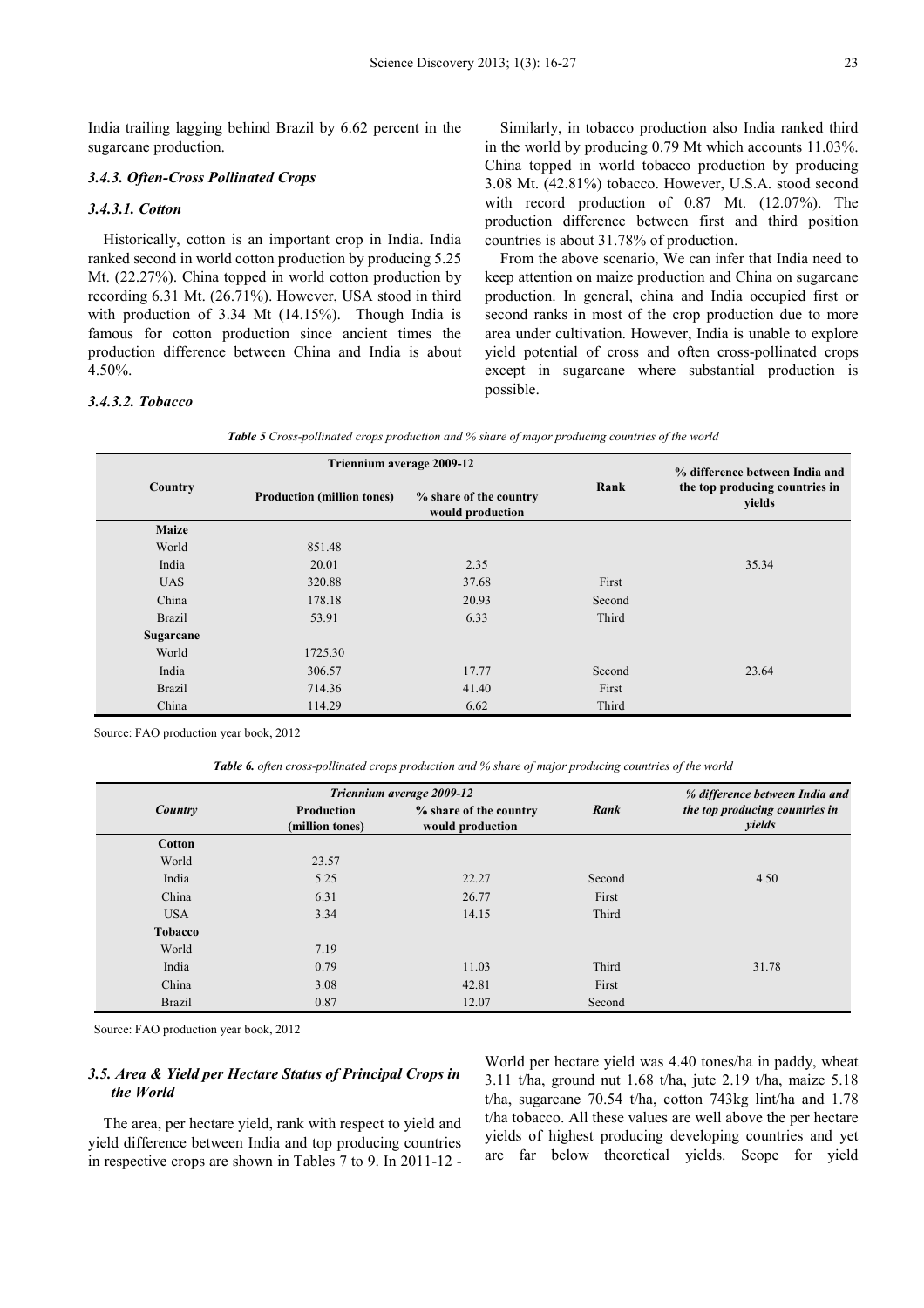India trailing lagging behind Brazil by 6.62 percent in the sugarcane production.

#### *3.4.3. Often-Cross Pollinated Crops*

## *3.4.3.1. Cotton*

Historically, cotton is an important crop in India. India ranked second in world cotton production by producing 5.25 Mt. (22.27%). China topped in world cotton production by recording 6.31 Mt. (26.71%). However, USA stood in third with production of 3.34 Mt (14.15%). Though India is famous for cotton production since ancient times the production difference between China and India is about 4.50%.

## *3.4.3.2. Tobacco*

Similarly, in tobacco production also India ranked third in the world by producing 0.79 Mt which accounts 11.03%. China topped in world tobacco production by producing 3.08 Mt. (42.81%) tobacco. However, U.S.A. stood second with record production of 0.87 Mt. (12.07%). The production difference between first and third position countries is about 31.78% of production.

From the above scenario, We can infer that India need to keep attention on maize production and China on sugarcane production. In general, china and India occupied first or second ranks in most of the crop production due to more area under cultivation. However, India is unable to explore yield potential of cross and often cross-pollinated crops except in sugarcane where substantial production is possible.

| <b>Table 5</b> Cross-pollinated crops production and % share of major producing countries of the world |
|--------------------------------------------------------------------------------------------------------|
|--------------------------------------------------------------------------------------------------------|

|               | Triennium average 2009-12         |                                            |        | % difference between India and<br>the top producing countries in<br>yields |  |
|---------------|-----------------------------------|--------------------------------------------|--------|----------------------------------------------------------------------------|--|
| Country       | <b>Production (million tones)</b> | % share of the country<br>would production | Rank   |                                                                            |  |
| <b>Maize</b>  |                                   |                                            |        |                                                                            |  |
| World         | 851.48                            |                                            |        |                                                                            |  |
| India         | 20.01                             | 2.35                                       |        | 35.34                                                                      |  |
| <b>UAS</b>    | 320.88                            | 37.68                                      | First  |                                                                            |  |
| China         | 178.18                            | 20.93                                      | Second |                                                                            |  |
| <b>Brazil</b> | 53.91                             | 6.33                                       | Third  |                                                                            |  |
| Sugarcane     |                                   |                                            |        |                                                                            |  |
| World         | 1725.30                           |                                            |        |                                                                            |  |
| India         | 306.57                            | 17.77                                      | Second | 23.64                                                                      |  |
| <b>Brazil</b> | 714.36                            | 41.40                                      | First  |                                                                            |  |
| China         | 114.29                            | 6.62                                       | Third  |                                                                            |  |

Source: FAO production year book, 2012

*Table 6. often cross-pollinated crops production and % share of major producing countries of the world* 

|                |                                      | Triennium average 2009-12                  |        | % difference between India and           |
|----------------|--------------------------------------|--------------------------------------------|--------|------------------------------------------|
| Country        | <b>Production</b><br>(million tones) | % share of the country<br>would production | Rank   | the top producing countries in<br>yields |
| <b>Cotton</b>  |                                      |                                            |        |                                          |
| World          | 23.57                                |                                            |        |                                          |
| India          | 5.25                                 | 22.27                                      | Second | 4.50                                     |
| China          | 6.31                                 | 26.77                                      | First  |                                          |
| <b>USA</b>     | 3.34                                 | 14.15                                      | Third  |                                          |
| <b>Tobacco</b> |                                      |                                            |        |                                          |
| World          | 7.19                                 |                                            |        |                                          |
| India          | 0.79                                 | 11.03                                      | Third  | 31.78                                    |
| China          | 3.08                                 | 42.81                                      | First  |                                          |
| <b>Brazil</b>  | 0.87                                 | 12.07                                      | Second |                                          |

Source: FAO production year book, 2012

## *3.5. Area & Yield per Hectare Status of Principal Crops in the World*

The area, per hectare yield, rank with respect to yield and yield difference between India and top producing countries in respective crops are shown in Tables 7 to 9. In 2011-12 - World per hectare yield was 4.40 tones/ha in paddy, wheat 3.11 t/ha, ground nut 1.68 t/ha, jute 2.19 t/ha, maize 5.18 t/ha, sugarcane 70.54 t/ha, cotton 743kg lint/ha and 1.78 t/ha tobacco. All these values are well above the per hectare yields of highest producing developing countries and yet are far below theoretical yields. Scope for yield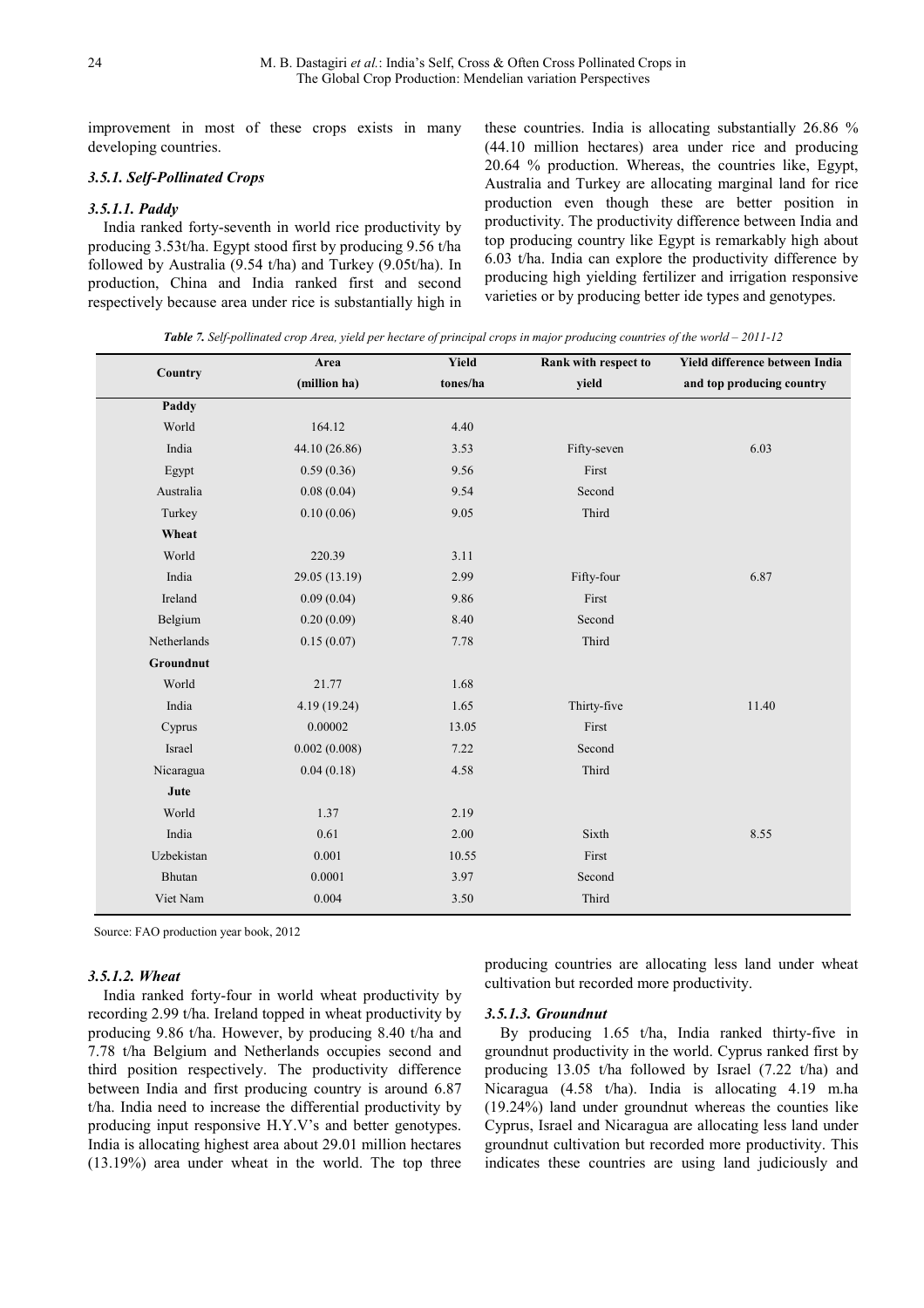improvement in most of these crops exists in many developing countries.

## *3.5.1. Self-Pollinated Crops*

## *3.5.1.1. Paddy*

India ranked forty-seventh in world rice productivity by producing 3.53t/ha. Egypt stood first by producing 9.56 t/ha followed by Australia (9.54 t/ha) and Turkey (9.05t/ha). In production, China and India ranked first and second respectively because area under rice is substantially high in these countries. India is allocating substantially 26.86 % (44.10 million hectares) area under rice and producing 20.64 % production. Whereas, the countries like, Egypt, Australia and Turkey are allocating marginal land for rice production even though these are better position in productivity. The productivity difference between India and top producing country like Egypt is remarkably high about 6.03 t/ha. India can explore the productivity difference by producing high yielding fertilizer and irrigation responsive varieties or by producing better ide types and genotypes.

*Table 7. Self-pollinated crop Area, yield per hectare of principal crops in major producing countries of the world – 2011-12* 

|             | Area          | Yield    | <b>Rank with respect to</b> | Yield difference between India |
|-------------|---------------|----------|-----------------------------|--------------------------------|
| Country     | (million ha)  | tones/ha | yield                       | and top producing country      |
| Paddy       |               |          |                             |                                |
| World       | 164.12        | 4.40     |                             |                                |
| India       | 44.10 (26.86) | 3.53     | Fifty-seven                 | 6.03                           |
| Egypt       | 0.59(0.36)    | 9.56     | First                       |                                |
| Australia   | 0.08(0.04)    | 9.54     | Second                      |                                |
| Turkey      | 0.10(0.06)    | 9.05     | Third                       |                                |
| Wheat       |               |          |                             |                                |
| World       | 220.39        | 3.11     |                             |                                |
| India       | 29.05 (13.19) | 2.99     | Fifty-four                  | 6.87                           |
| Ireland     | 0.09(0.04)    | 9.86     | First                       |                                |
| Belgium     | 0.20(0.09)    | 8.40     | Second                      |                                |
| Netherlands | 0.15(0.07)    | 7.78     | Third                       |                                |
| Groundnut   |               |          |                             |                                |
| World       | 21.77         | 1.68     |                             |                                |
| India       | 4.19 (19.24)  | 1.65     | Thirty-five                 | 11.40                          |
| Cyprus      | 0.00002       | 13.05    | First                       |                                |
| Israel      | 0.002(0.008)  | 7.22     | Second                      |                                |
| Nicaragua   | 0.04(0.18)    | 4.58     | Third                       |                                |
| Jute        |               |          |                             |                                |
| World       | 1.37          | 2.19     |                             |                                |
| India       | 0.61          | 2.00     | Sixth                       | 8.55                           |
| Uzbekistan  | 0.001         | 10.55    | First                       |                                |
| Bhutan      | 0.0001        | 3.97     | Second                      |                                |
| Viet Nam    | 0.004         | 3.50     | Third                       |                                |

Source: FAO production year book, 2012

## *3.5.1.2. Wheat*

India ranked forty-four in world wheat productivity by recording 2.99 t/ha. Ireland topped in wheat productivity by producing 9.86 t/ha. However, by producing 8.40 t/ha and 7.78 t/ha Belgium and Netherlands occupies second and third position respectively. The productivity difference between India and first producing country is around 6.87 t/ha. India need to increase the differential productivity by producing input responsive H.Y.V's and better genotypes. India is allocating highest area about 29.01 million hectares (13.19%) area under wheat in the world. The top three

producing countries are allocating less land under wheat cultivation but recorded more productivity.

#### *3.5.1.3. Groundnut*

By producing 1.65 t/ha, India ranked thirty-five in groundnut productivity in the world. Cyprus ranked first by producing 13.05 t/ha followed by Israel (7.22 t/ha) and Nicaragua (4.58 t/ha). India is allocating 4.19 m.ha (19.24%) land under groundnut whereas the counties like Cyprus, Israel and Nicaragua are allocating less land under groundnut cultivation but recorded more productivity. This indicates these countries are using land judiciously and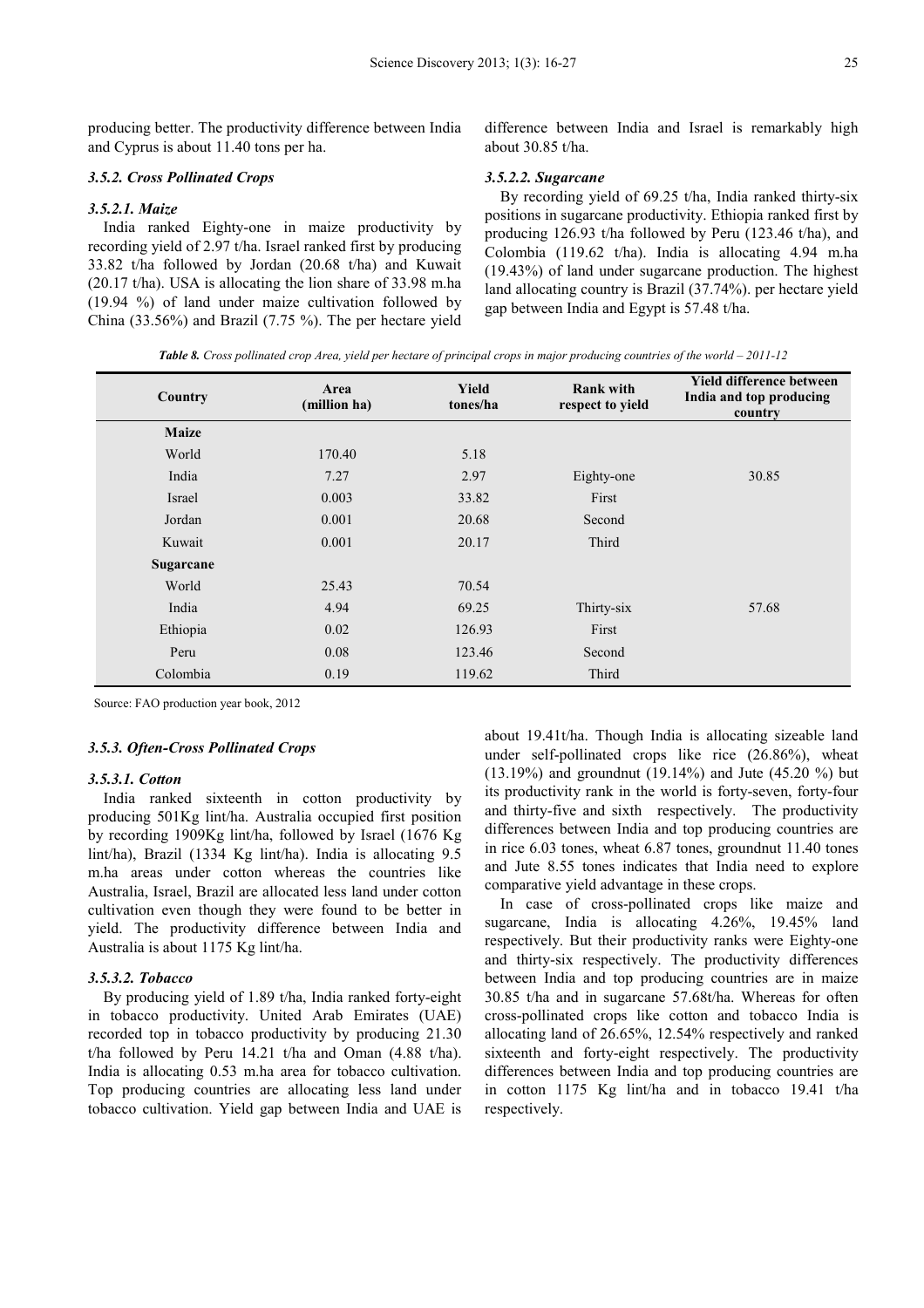producing better. The productivity difference between India and Cyprus is about 11.40 tons per ha.

## *3.5.2. Cross Pollinated Crops*

## *3.5.2.1. Maize*

India ranked Eighty-one in maize productivity by recording yield of 2.97 t/ha. Israel ranked first by producing 33.82 t/ha followed by Jordan (20.68 t/ha) and Kuwait (20.17 t/ha). USA is allocating the lion share of 33.98 m.ha (19.94 %) of land under maize cultivation followed by China (33.56%) and Brazil (7.75 %). The per hectare yield

difference between India and Israel is remarkably high about 30.85 t/ha.

#### *3.5.2.2. Sugarcane*

By recording yield of 69.25 t/ha, India ranked thirty-six positions in sugarcane productivity. Ethiopia ranked first by producing 126.93 t/ha followed by Peru (123.46 t/ha), and Colombia (119.62 t/ha). India is allocating 4.94 m.ha (19.43%) of land under sugarcane production. The highest land allocating country is Brazil (37.74%). per hectare yield gap between India and Egypt is 57.48 t/ha.

*Table 8. Cross pollinated crop Area, yield per hectare of principal crops in major producing countries of the world – 2011-12*

| Country      | Area<br>(million ha) | Yield<br>tones/ha | <b>Rank with</b><br>respect to yield | Yield difference between<br>India and top producing<br>country |
|--------------|----------------------|-------------------|--------------------------------------|----------------------------------------------------------------|
| <b>Maize</b> |                      |                   |                                      |                                                                |
| World        | 170.40               | 5.18              |                                      |                                                                |
| India        | 7.27                 | 2.97              | Eighty-one                           | 30.85                                                          |
| Israel       | 0.003                | 33.82             | First                                |                                                                |
| Jordan       | 0.001                | 20.68             | Second                               |                                                                |
| Kuwait       | 0.001                | 20.17             | Third                                |                                                                |
| Sugarcane    |                      |                   |                                      |                                                                |
| World        | 25.43                | 70.54             |                                      |                                                                |
| India        | 4.94                 | 69.25             | Thirty-six                           | 57.68                                                          |
| Ethiopia     | 0.02                 | 126.93            | First                                |                                                                |
| Peru         | 0.08                 | 123.46            | Second                               |                                                                |
| Colombia     | 0.19                 | 119.62            | Third                                |                                                                |

Source: FAO production year book, 2012

## *3.5.3. Often-Cross Pollinated Crops*

## *3.5.3.1. Cotton*

India ranked sixteenth in cotton productivity by producing 501Kg lint/ha. Australia occupied first position by recording 1909Kg lint/ha, followed by Israel (1676 Kg lint/ha), Brazil (1334 Kg lint/ha). India is allocating 9.5 m.ha areas under cotton whereas the countries like Australia, Israel, Brazil are allocated less land under cotton cultivation even though they were found to be better in yield. The productivity difference between India and Australia is about 1175 Kg lint/ha.

#### *3.5.3.2. Tobacco*

By producing yield of 1.89 t/ha, India ranked forty-eight in tobacco productivity. United Arab Emirates (UAE) recorded top in tobacco productivity by producing 21.30 t/ha followed by Peru 14.21 t/ha and Oman (4.88 t/ha). India is allocating 0.53 m.ha area for tobacco cultivation. Top producing countries are allocating less land under tobacco cultivation. Yield gap between India and UAE is about 19.41t/ha. Though India is allocating sizeable land under self-pollinated crops like rice (26.86%), wheat (13.19%) and groundnut (19.14%) and Jute (45.20 %) but its productivity rank in the world is forty-seven, forty-four and thirty-five and sixth respectively. The productivity differences between India and top producing countries are in rice 6.03 tones, wheat 6.87 tones, groundnut 11.40 tones and Jute 8.55 tones indicates that India need to explore comparative yield advantage in these crops.

In case of cross-pollinated crops like maize and sugarcane, India is allocating 4.26%, 19.45% land respectively. But their productivity ranks were Eighty-one and thirty-six respectively. The productivity differences between India and top producing countries are in maize 30.85 t/ha and in sugarcane 57.68t/ha. Whereas for often cross-pollinated crops like cotton and tobacco India is allocating land of 26.65%, 12.54% respectively and ranked sixteenth and forty-eight respectively. The productivity differences between India and top producing countries are in cotton 1175 Kg lint/ha and in tobacco 19.41 t/ha respectively.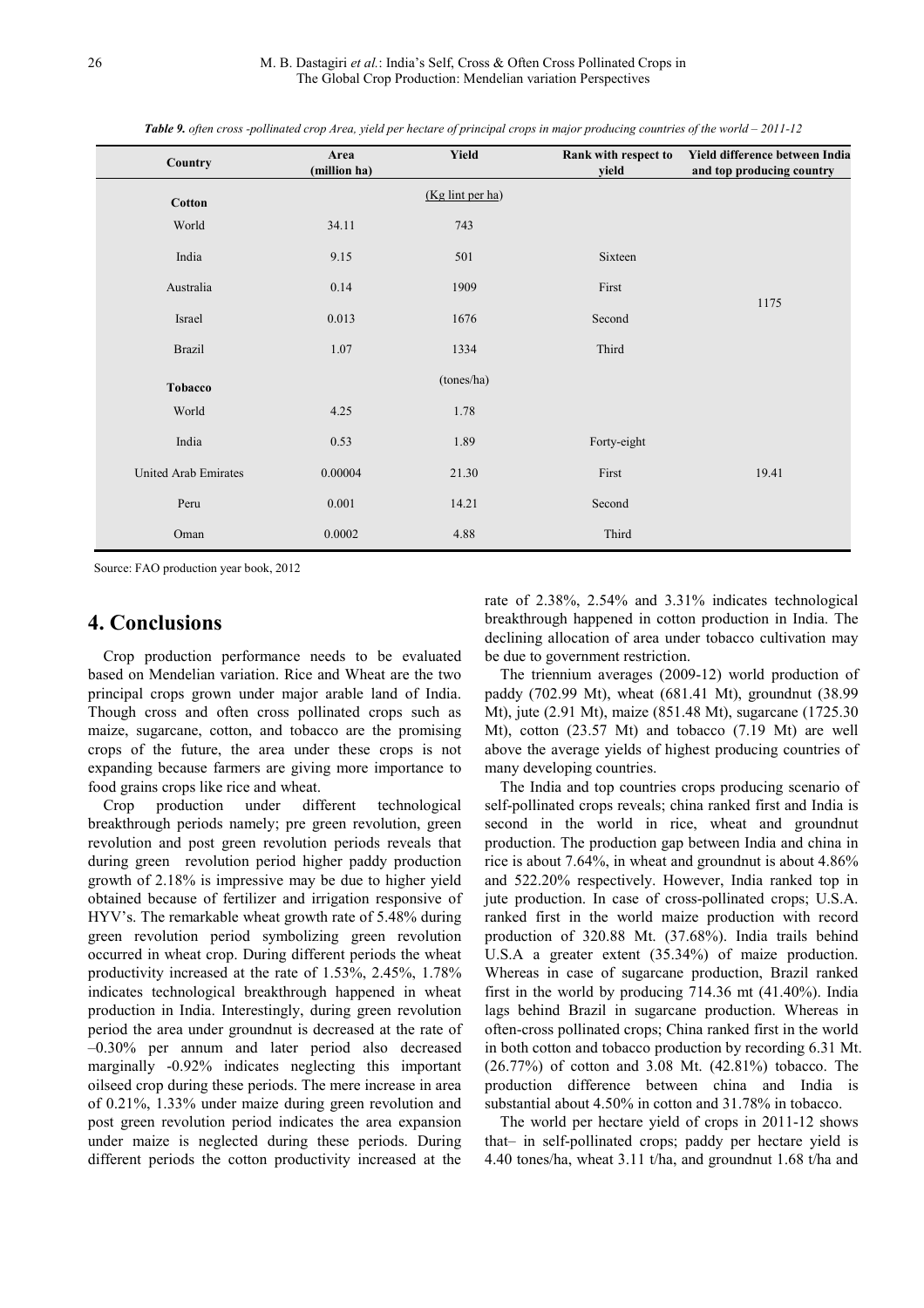*Table 9. often cross -pollinated crop Area, yield per hectare of principal crops in major producing countries of the world – 2011-12*

| Country              | Area<br>(million ha) | <b>Yield</b>     | Rank with respect to<br>yield | Yield difference between India<br>and top producing country |
|----------------------|----------------------|------------------|-------------------------------|-------------------------------------------------------------|
| <b>Cotton</b>        |                      | (Kg lint per ha) |                               |                                                             |
| World                | 34.11                | 743              |                               |                                                             |
| India                | 9.15                 | 501              | Sixteen                       |                                                             |
| Australia            | 0.14                 | 1909             | First                         |                                                             |
| Israel               | 0.013                | 1676             | Second                        | 1175                                                        |
| <b>Brazil</b>        | 1.07                 | 1334             | Third                         |                                                             |
| Tobacco              |                      | (tones/ha)       |                               |                                                             |
| World                | 4.25                 | 1.78             |                               |                                                             |
| India                | 0.53                 | 1.89             | Forty-eight                   |                                                             |
| United Arab Emirates | 0.00004              | 21.30            | First                         | 19.41                                                       |
| Peru                 | 0.001                | 14.21            | Second                        |                                                             |
| Oman                 | 0.0002               | 4.88             | Third                         |                                                             |

Source: FAO production year book, 2012

# **4. Conclusions**

Crop production performance needs to be evaluated based on Mendelian variation. Rice and Wheat are the two principal crops grown under major arable land of India. Though cross and often cross pollinated crops such as maize, sugarcane, cotton, and tobacco are the promising crops of the future, the area under these crops is not expanding because farmers are giving more importance to food grains crops like rice and wheat.

Crop production under different technological breakthrough periods namely; pre green revolution, green revolution and post green revolution periods reveals that during green revolution period higher paddy production growth of 2.18% is impressive may be due to higher yield obtained because of fertilizer and irrigation responsive of HYV's. The remarkable wheat growth rate of 5.48% during green revolution period symbolizing green revolution occurred in wheat crop. During different periods the wheat productivity increased at the rate of 1.53%, 2.45%, 1.78% indicates technological breakthrough happened in wheat production in India. Interestingly, during green revolution period the area under groundnut is decreased at the rate of –0.30% per annum and later period also decreased marginally -0.92% indicates neglecting this important oilseed crop during these periods. The mere increase in area of 0.21%, 1.33% under maize during green revolution and post green revolution period indicates the area expansion under maize is neglected during these periods. During different periods the cotton productivity increased at the

rate of 2.38%, 2.54% and 3.31% indicates technological breakthrough happened in cotton production in India. The declining allocation of area under tobacco cultivation may be due to government restriction.

The triennium averages (2009-12) world production of paddy (702.99 Mt), wheat (681.41 Mt), groundnut (38.99 Mt), jute (2.91 Mt), maize (851.48 Mt), sugarcane (1725.30 Mt), cotton (23.57 Mt) and tobacco (7.19 Mt) are well above the average yields of highest producing countries of many developing countries.

The India and top countries crops producing scenario of self-pollinated crops reveals; china ranked first and India is second in the world in rice, wheat and groundnut production. The production gap between India and china in rice is about 7.64%, in wheat and groundnut is about 4.86% and 522.20% respectively. However, India ranked top in jute production. In case of cross-pollinated crops; U.S.A. ranked first in the world maize production with record production of 320.88 Mt. (37.68%). India trails behind U.S.A a greater extent (35.34%) of maize production. Whereas in case of sugarcane production, Brazil ranked first in the world by producing 714.36 mt (41.40%). India lags behind Brazil in sugarcane production. Whereas in often-cross pollinated crops; China ranked first in the world in both cotton and tobacco production by recording 6.31 Mt. (26.77%) of cotton and 3.08 Mt. (42.81%) tobacco. The production difference between china and India is substantial about 4.50% in cotton and 31.78% in tobacco.

The world per hectare yield of crops in 2011-12 shows that– in self-pollinated crops; paddy per hectare yield is 4.40 tones/ha, wheat 3.11 t/ha, and groundnut 1.68 t/ha and